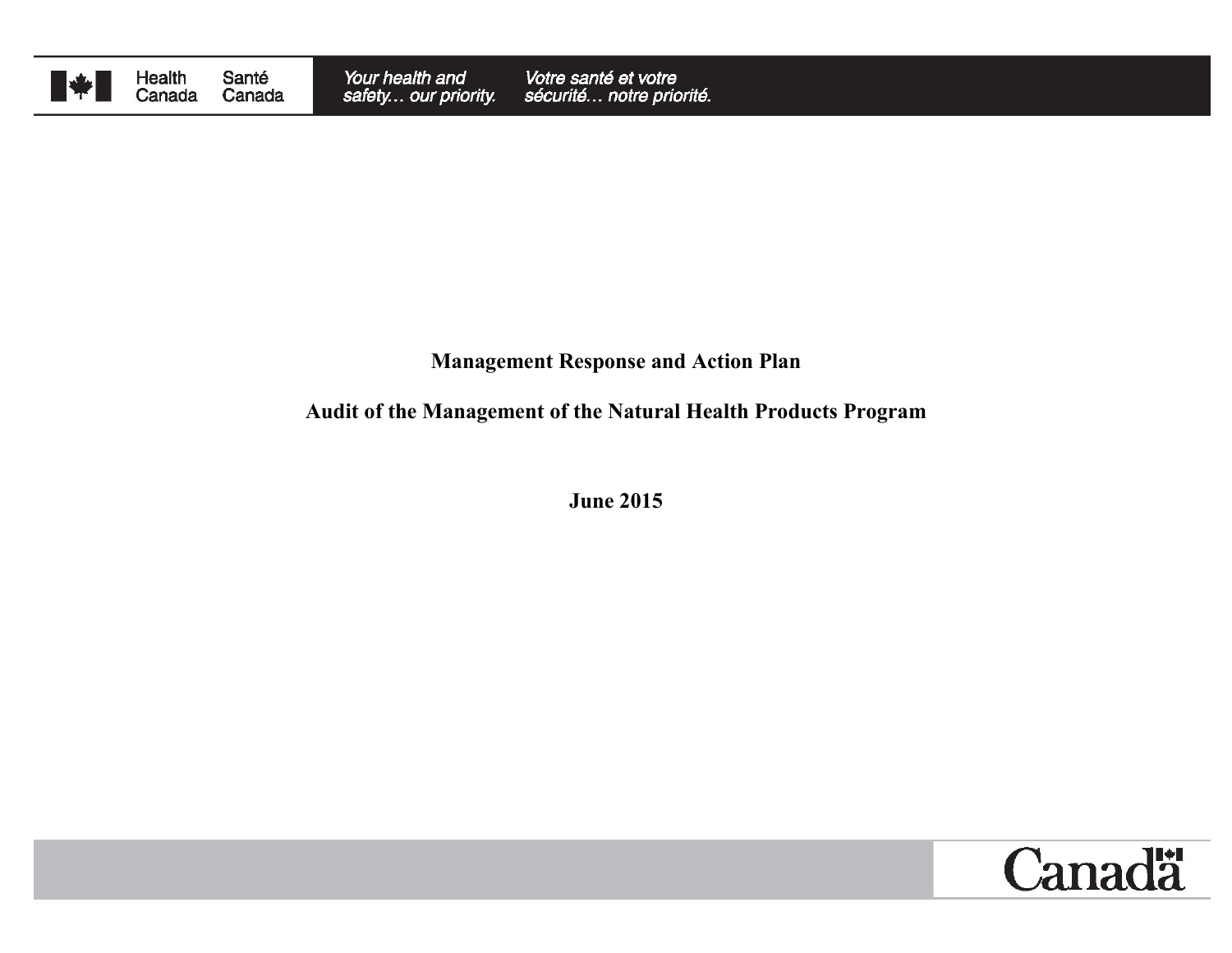

Health<br>Canada Santé Canada

#### **Management Response and Action Plan**

# **Audit of the Management of the Natural Health Products Program**

**June 2015**

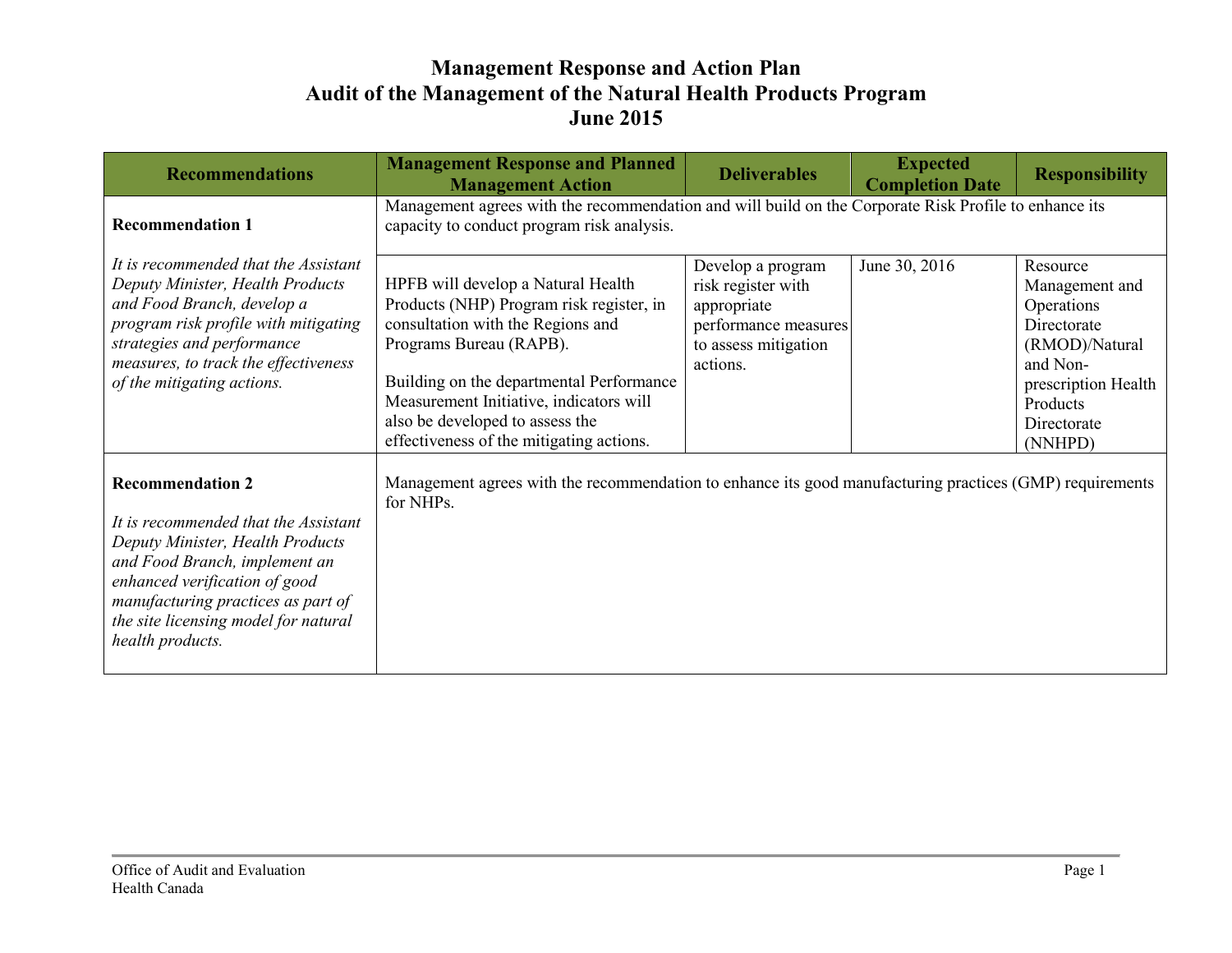| <b>Recommendations</b>                                                                                                                                                                                                                                                  | <b>Management Response and Planned</b><br><b>Management Action</b>                                                                                                                                                                                                                                                   | <b>Deliverables</b>                                                                                                | <b>Expected</b><br><b>Completion Date</b> | <b>Responsibility</b>                                                                                                                              |
|-------------------------------------------------------------------------------------------------------------------------------------------------------------------------------------------------------------------------------------------------------------------------|----------------------------------------------------------------------------------------------------------------------------------------------------------------------------------------------------------------------------------------------------------------------------------------------------------------------|--------------------------------------------------------------------------------------------------------------------|-------------------------------------------|----------------------------------------------------------------------------------------------------------------------------------------------------|
| <b>Recommendation 1</b>                                                                                                                                                                                                                                                 | Management agrees with the recommendation and will build on the Corporate Risk Profile to enhance its<br>capacity to conduct program risk analysis.                                                                                                                                                                  |                                                                                                                    |                                           |                                                                                                                                                    |
| It is recommended that the Assistant<br>Deputy Minister, Health Products<br>and Food Branch, develop a<br>program risk profile with mitigating<br>strategies and performance<br>measures, to track the effectiveness<br>of the mitigating actions.                      | HPFB will develop a Natural Health<br>Products (NHP) Program risk register, in<br>consultation with the Regions and<br>Programs Bureau (RAPB).<br>Building on the departmental Performance<br>Measurement Initiative, indicators will<br>also be developed to assess the<br>effectiveness of the mitigating actions. | Develop a program<br>risk register with<br>appropriate<br>performance measures<br>to assess mitigation<br>actions. | June 30, 2016                             | Resource<br>Management and<br>Operations<br>Directorate<br>(RMOD)/Natural<br>and Non-<br>prescription Health<br>Products<br>Directorate<br>(NNHPD) |
| <b>Recommendation 2</b><br>It is recommended that the Assistant<br>Deputy Minister, Health Products<br>and Food Branch, implement an<br>enhanced verification of good<br>manufacturing practices as part of<br>the site licensing model for natural<br>health products. | Management agrees with the recommendation to enhance its good manufacturing practices (GMP) requirements<br>for NHPs.                                                                                                                                                                                                |                                                                                                                    |                                           |                                                                                                                                                    |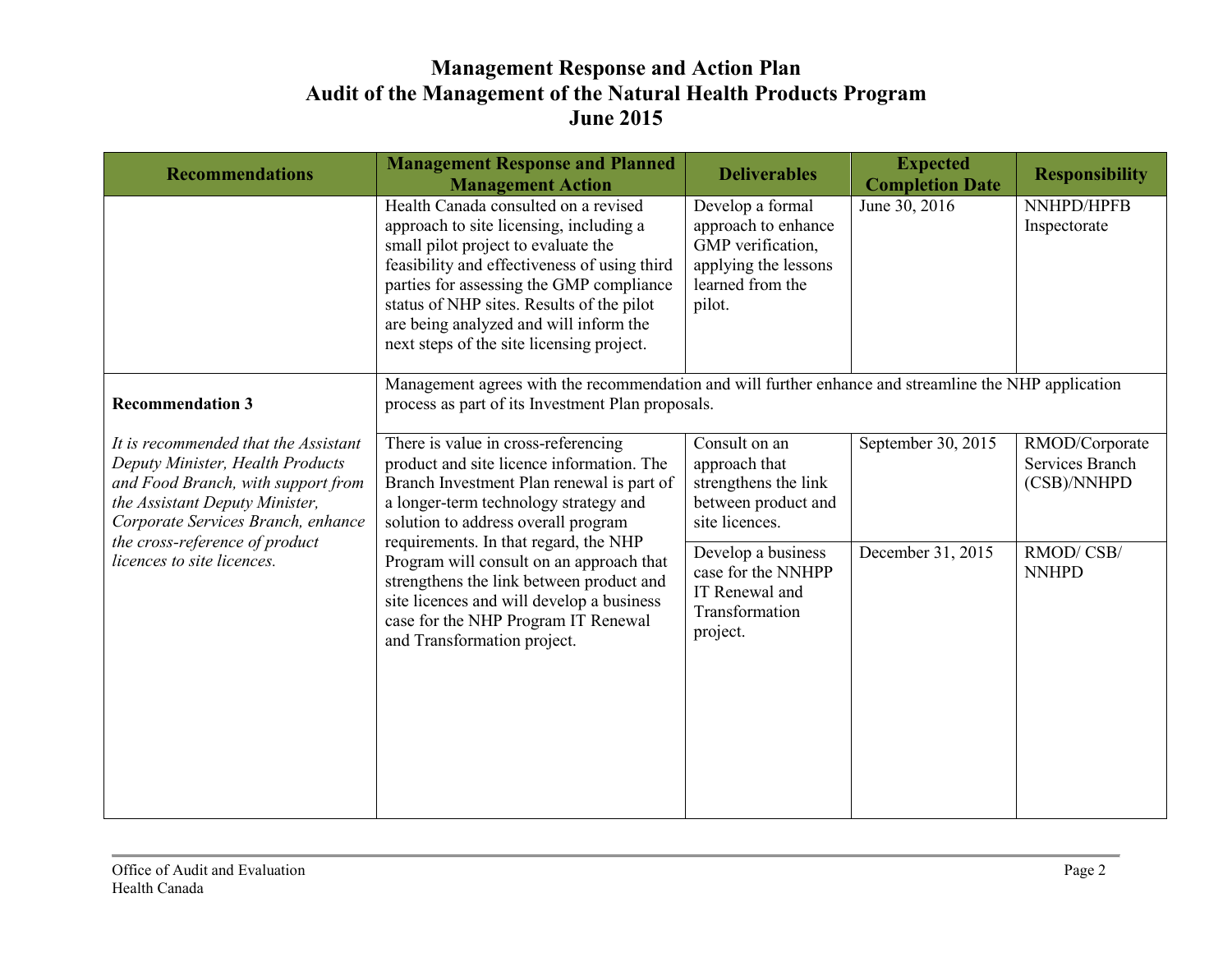| <b>Recommendations</b>                                                                                                                                                                                                                                 | <b>Management Response and Planned</b><br><b>Management Action</b>                                                                                                                                                                                                                                                                                                                                                                                                | <b>Deliverables</b>                                                                                                | <b>Expected</b><br><b>Completion Date</b> | <b>Responsibility</b>                            |
|--------------------------------------------------------------------------------------------------------------------------------------------------------------------------------------------------------------------------------------------------------|-------------------------------------------------------------------------------------------------------------------------------------------------------------------------------------------------------------------------------------------------------------------------------------------------------------------------------------------------------------------------------------------------------------------------------------------------------------------|--------------------------------------------------------------------------------------------------------------------|-------------------------------------------|--------------------------------------------------|
|                                                                                                                                                                                                                                                        | Health Canada consulted on a revised<br>approach to site licensing, including a<br>small pilot project to evaluate the<br>feasibility and effectiveness of using third<br>parties for assessing the GMP compliance<br>status of NHP sites. Results of the pilot<br>are being analyzed and will inform the<br>next steps of the site licensing project.                                                                                                            | Develop a formal<br>approach to enhance<br>GMP verification,<br>applying the lessons<br>learned from the<br>pilot. | June 30, 2016                             | NNHPD/HPFB<br>Inspectorate                       |
| <b>Recommendation 3</b>                                                                                                                                                                                                                                | Management agrees with the recommendation and will further enhance and streamline the NHP application<br>process as part of its Investment Plan proposals.                                                                                                                                                                                                                                                                                                        |                                                                                                                    |                                           |                                                  |
| It is recommended that the Assistant<br>Deputy Minister, Health Products<br>and Food Branch, with support from<br>the Assistant Deputy Minister,<br>Corporate Services Branch, enhance<br>the cross-reference of product<br>licences to site licences. | There is value in cross-referencing<br>product and site licence information. The<br>Branch Investment Plan renewal is part of<br>a longer-term technology strategy and<br>solution to address overall program<br>requirements. In that regard, the NHP<br>Program will consult on an approach that<br>strengthens the link between product and<br>site licences and will develop a business<br>case for the NHP Program IT Renewal<br>and Transformation project. | Consult on an<br>approach that<br>strengthens the link<br>between product and<br>site licences.                    | September 30, 2015                        | RMOD/Corporate<br>Services Branch<br>(CSB)/NNHPD |
|                                                                                                                                                                                                                                                        |                                                                                                                                                                                                                                                                                                                                                                                                                                                                   | Develop a business<br>case for the NNHPP<br>IT Renewal and<br>Transformation<br>project.                           | December 31, 2015                         | RMOD/CSB/<br><b>NNHPD</b>                        |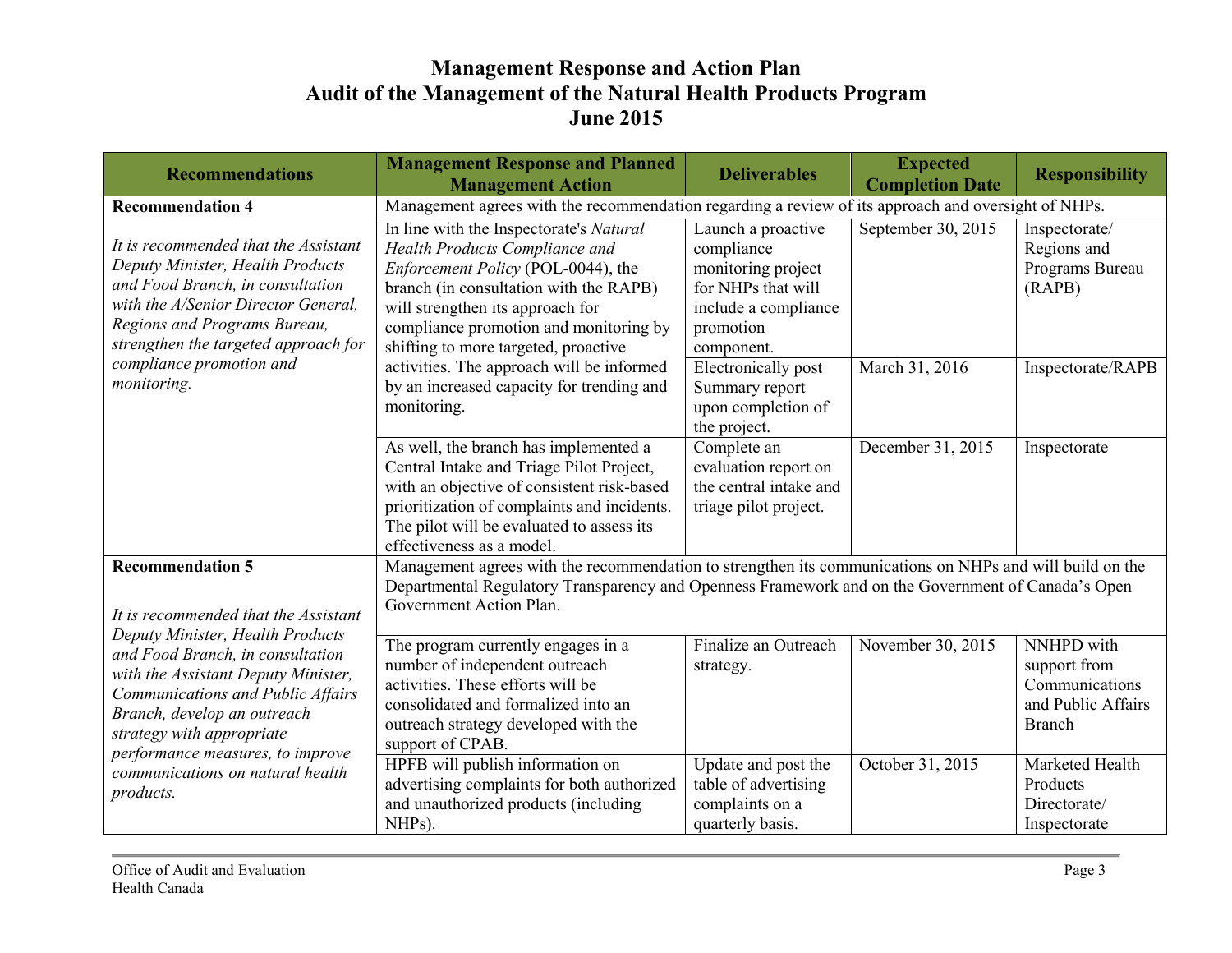| <b>Recommendations</b>                                                                                                                                                                                                                                                                            | <b>Management Response and Planned</b><br><b>Management Action</b>                                                                                                                                                                                                              | <b>Deliverables</b>                                                                                                             | <b>Expected</b><br><b>Completion Date</b> | <b>Responsibility</b>                                                               |
|---------------------------------------------------------------------------------------------------------------------------------------------------------------------------------------------------------------------------------------------------------------------------------------------------|---------------------------------------------------------------------------------------------------------------------------------------------------------------------------------------------------------------------------------------------------------------------------------|---------------------------------------------------------------------------------------------------------------------------------|-------------------------------------------|-------------------------------------------------------------------------------------|
| <b>Recommendation 4</b>                                                                                                                                                                                                                                                                           | Management agrees with the recommendation regarding a review of its approach and oversight of NHPs.                                                                                                                                                                             |                                                                                                                                 |                                           |                                                                                     |
| It is recommended that the Assistant<br>Deputy Minister, Health Products<br>and Food Branch, in consultation<br>with the A/Senior Director General.<br>Regions and Programs Bureau,<br>strengthen the targeted approach for<br>compliance promotion and<br>monitoring.                            | In line with the Inspectorate's Natural<br>Health Products Compliance and<br>Enforcement Policy (POL-0044), the<br>branch (in consultation with the RAPB)<br>will strengthen its approach for<br>compliance promotion and monitoring by<br>shifting to more targeted, proactive | Launch a proactive<br>compliance<br>monitoring project<br>for NHPs that will<br>include a compliance<br>promotion<br>component. | September 30, 2015                        | Inspectorate/<br>Regions and<br>Programs Bureau<br>(RAPB)                           |
|                                                                                                                                                                                                                                                                                                   | activities. The approach will be informed<br>by an increased capacity for trending and<br>monitoring.                                                                                                                                                                           | <b>Electronically post</b><br>Summary report<br>upon completion of<br>the project.                                              | March 31, 2016                            | Inspectorate/RAPB                                                                   |
|                                                                                                                                                                                                                                                                                                   | As well, the branch has implemented a<br>Central Intake and Triage Pilot Project,<br>with an objective of consistent risk-based<br>prioritization of complaints and incidents.<br>The pilot will be evaluated to assess its<br>effectiveness as a model.                        | Complete an<br>evaluation report on<br>the central intake and<br>triage pilot project.                                          | December 31, 2015                         | Inspectorate                                                                        |
| <b>Recommendation 5</b><br>It is recommended that the Assistant                                                                                                                                                                                                                                   | Management agrees with the recommendation to strengthen its communications on NHPs and will build on the<br>Departmental Regulatory Transparency and Openness Framework and on the Government of Canada's Open<br>Government Action Plan.                                       |                                                                                                                                 |                                           |                                                                                     |
| Deputy Minister, Health Products<br>and Food Branch, in consultation<br>with the Assistant Deputy Minister,<br>Communications and Public Affairs<br>Branch, develop an outreach<br>strategy with appropriate<br>performance measures, to improve<br>communications on natural health<br>products. | The program currently engages in a<br>number of independent outreach<br>activities. These efforts will be<br>consolidated and formalized into an<br>outreach strategy developed with the<br>support of CPAB.                                                                    | Finalize an Outreach<br>strategy.                                                                                               | November 30, 2015                         | NNHPD with<br>support from<br>Communications<br>and Public Affairs<br><b>Branch</b> |
|                                                                                                                                                                                                                                                                                                   | HPFB will publish information on<br>advertising complaints for both authorized<br>and unauthorized products (including<br>NHPs).                                                                                                                                                | Update and post the<br>table of advertising<br>complaints on a<br>quarterly basis.                                              | October 31, 2015                          | Marketed Health<br>Products<br>Directorate/<br>Inspectorate                         |